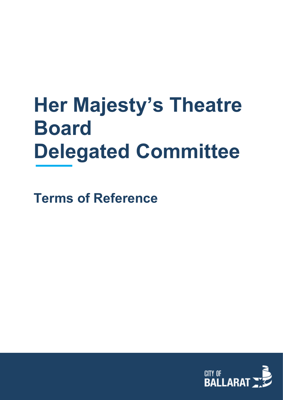# **Her Majesty's Theatre Board Delegated Committee**

**Terms of Reference**

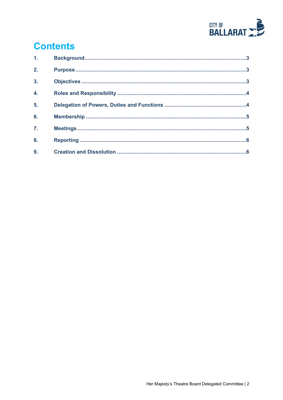

# **Contents**

| 1 <sub>1</sub>   |  |
|------------------|--|
| 2.               |  |
| 3.               |  |
| 4.               |  |
| 5.               |  |
| 6.               |  |
| $\overline{7}$ . |  |
| 8.               |  |
| 9.               |  |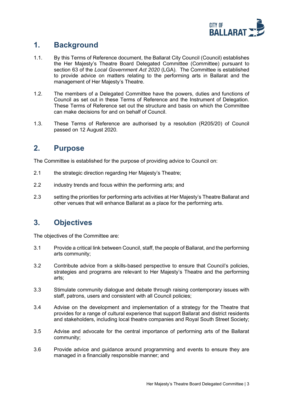

# <span id="page-2-0"></span>**1. Background**

- 1.1. By this Terms of Reference document, the Ballarat City Council (Council) establishes the Her Majesty's Theatre Board Delegated Committee (Committee) pursuant to section 63 of the *Local Government Act 2020* (LGA). The Committee is established to provide advice on matters relating to the performing arts in Ballarat and the management of Her Majesty's Theatre.
- 1.2. The members of a Delegated Committee have the powers, duties and functions of Council as set out in these Terms of Reference and the Instrument of Delegation. These Terms of Reference set out the structure and basis on which the Committee can make decisions for and on behalf of Council.
- 1.3. These Terms of Reference are authorised by a resolution (R205/20) of Council passed on 12 August 2020.

#### <span id="page-2-1"></span>**2. Purpose**

The Committee is established for the purpose of providing advice to Council on:

- 2.1 the strategic direction regarding Her Majesty's Theatre;
- 2.2 industry trends and focus within the performing arts; and
- 2.3 setting the priorities for performing arts activities at Her Majesty's Theatre Ballarat and other venues that will enhance Ballarat as a place for the performing arts.

# <span id="page-2-2"></span>**3. Objectives**

The objectives of the Committee are:

- 3.1 Provide a critical link between Council, staff, the people of Ballarat, and the performing arts community;
- 3.2 Contribute advice from a skills-based perspective to ensure that Council's policies, strategies and programs are relevant to Her Majesty's Theatre and the performing arts;
- 3.3 Stimulate community dialogue and debate through raising contemporary issues with staff, patrons, users and consistent with all Council policies;
- 3.4 Advise on the development and implementation of a strategy for the Theatre that provides for a range of cultural experience that support Ballarat and district residents and stakeholders, including local theatre companies and Royal South Street Society;
- 3.5 Advise and advocate for the central importance of performing arts of the Ballarat community;
- 3.6 Provide advice and guidance around programming and events to ensure they are managed in a financially responsible manner; and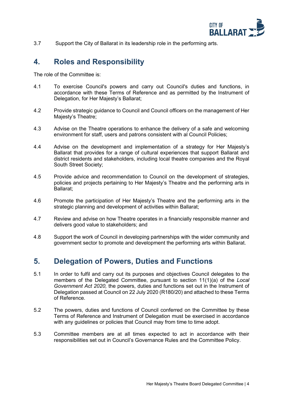

3.7 Support the City of Ballarat in its leadership role in the performing arts.

#### <span id="page-3-0"></span>**4. Roles and Responsibility**

The role of the Committee is:

- 4.1 To exercise Council's powers and carry out Council's duties and functions, in accordance with these Terms of Reference and as permitted by the Instrument of Delegation, for Her Majesty's Ballarat;
- 4.2 Provide strategic guidance to Council and Council officers on the management of Her Majesty's Theatre;
- 4.3 Advise on the Theatre operations to enhance the delivery of a safe and welcoming environment for staff, users and patrons consistent with al Council Policies;
- 4.4 Advise on the development and implementation of a strategy for Her Majesty's Ballarat that provides for a range of cultural experiences that support Ballarat and district residents and stakeholders, including local theatre companies and the Royal South Street Society;
- 4.5 Provide advice and recommendation to Council on the development of strategies, policies and projects pertaining to Her Majesty's Theatre and the performing arts in Ballarat;
- 4.6 Promote the participation of Her Majesty's Theatre and the performing arts in the strategic planning and development of activities within Ballarat;
- 4.7 Review and advise on how Theatre operates in a financially responsible manner and delivers good value to stakeholders; and
- 4.8 Support the work of Council in developing partnerships with the wider community and government sector to promote and development the performing arts within Ballarat.

#### <span id="page-3-1"></span>**5. Delegation of Powers, Duties and Functions**

- 5.1 In order to fulfil and carry out its purposes and objectives Council delegates to the members of the Delegated Committee, pursuant to section 11(1)(a) of the *Local Government Act 2020,* the powers, duties and functions set out in the Instrument of Delegation passed at Council on 22 July 2020 (R180/20) and attached to these Terms of Reference.
- 5.2 The powers, duties and functions of Council conferred on the Committee by these Terms of Reference and Instrument of Delegation must be exercised in accordance with any quidelines or policies that Council may from time to time adopt.
- 5.3 Committee members are at all times expected to act in accordance with their responsibilities set out in Council's Governance Rules and the Committee Policy.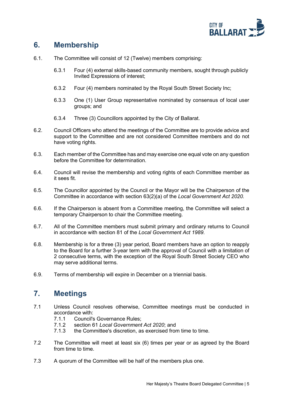

# <span id="page-4-0"></span>**6. Membership**

- 6.1. The Committee will consist of 12 (Twelve) members comprising:
	- 6.3.1 Four (4) external skills-based community members, sought through publicly Invited Expressions of interest;
	- 6.3.2 Four (4) members nominated by the Royal South Street Society Inc;
	- 6.3.3 One (1) User Group representative nominated by consensus of local user groups; and
	- 6.3.4 Three (3) Councillors appointed by the City of Ballarat.
- 6.2. Council Officers who attend the meetings of the Committee are to provide advice and support to the Committee and are not considered Committee members and do not have voting rights.
- 6.3. Each member of the Committee has and may exercise one equal vote on any question before the Committee for determination.
- 6.4. Council will revise the membership and voting rights of each Committee member as it sees fit.
- 6.5. The Councillor appointed by the Council or the Mayor will be the Chairperson of the Committee in accordance with section 63(2)(a) of the *Local Government Act 2020.*
- 6.6. If the Chairperson is absent from a Committee meeting, the Committee will select a temporary Chairperson to chair the Committee meeting.
- 6.7. All of the Committee members must submit primary and ordinary returns to Council in accordance with section 81 of the *Local Government Act 1989*.
- 6.8. Membership is for a three (3) year period, Board members have an option to reapply to the Board for a further 3-year term with the approval of Council with a limitation of 2 consecutive terms, with the exception of the Royal South Street Society CEO who may serve additional terms.
- 6.9. Terms of membership will expire in December on a triennial basis.

# <span id="page-4-1"></span>**7. Meetings**

- 7.1 Unless Council resolves otherwise, Committee meetings must be conducted in accordance with:
	- 7.1.1 Council's Governance Rules;<br>7.1.2 section 61 Local Government
	- section 61 *Local Government Act 2020*; and
	- 7.1.3 the Committee's discretion, as exercised from time to time.
- 7.2 The Committee will meet at least six (6) times per year or as agreed by the Board from time to time.
- 7.3 A quorum of the Committee will be half of the members plus one.